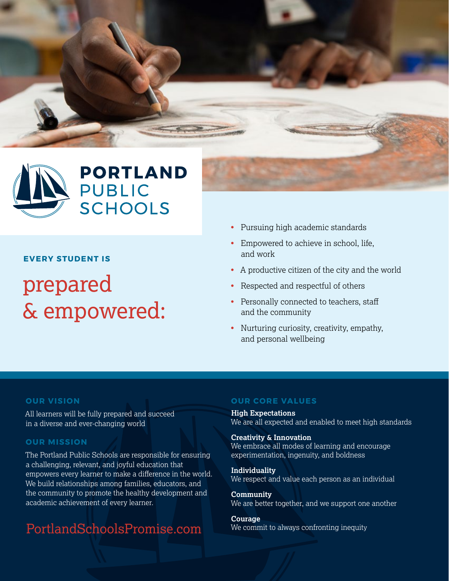



#### **EVERY STUDENT IS**

# prepared & empowered:

- Pursuing high academic standards
- Empowered to achieve in school, life, and work
- A productive citizen of the city and the world
- Respected and respectful of others
- Personally connected to teachers, staff and the community
- Nurturing curiosity, creativity, empathy, and personal wellbeing

#### **OUR VISION**

All learners will be fully prepared and succeed in a diverse and ever-changing world

#### **OUR MISSION**

The Portland Public Schools are responsible for ensuring a challenging, relevant, and joyful education that empowers every learner to make a difference in the world. We build relationships among families, educators, and the community to promote the healthy development and academic achievement of every learner.

## PortlandSchoolsPromise.com

#### **OUR CORE VALUES**

**High Expectations** We are all expected and enabled to meet high standards

**Creativity & Innovation** We embrace all modes of learning and encourage experimentation, ingenuity, and boldness

**Individuality** We respect and value each person as an individual

**Community** We are better together, and we support one another

**Courage** We commit to always confronting inequity